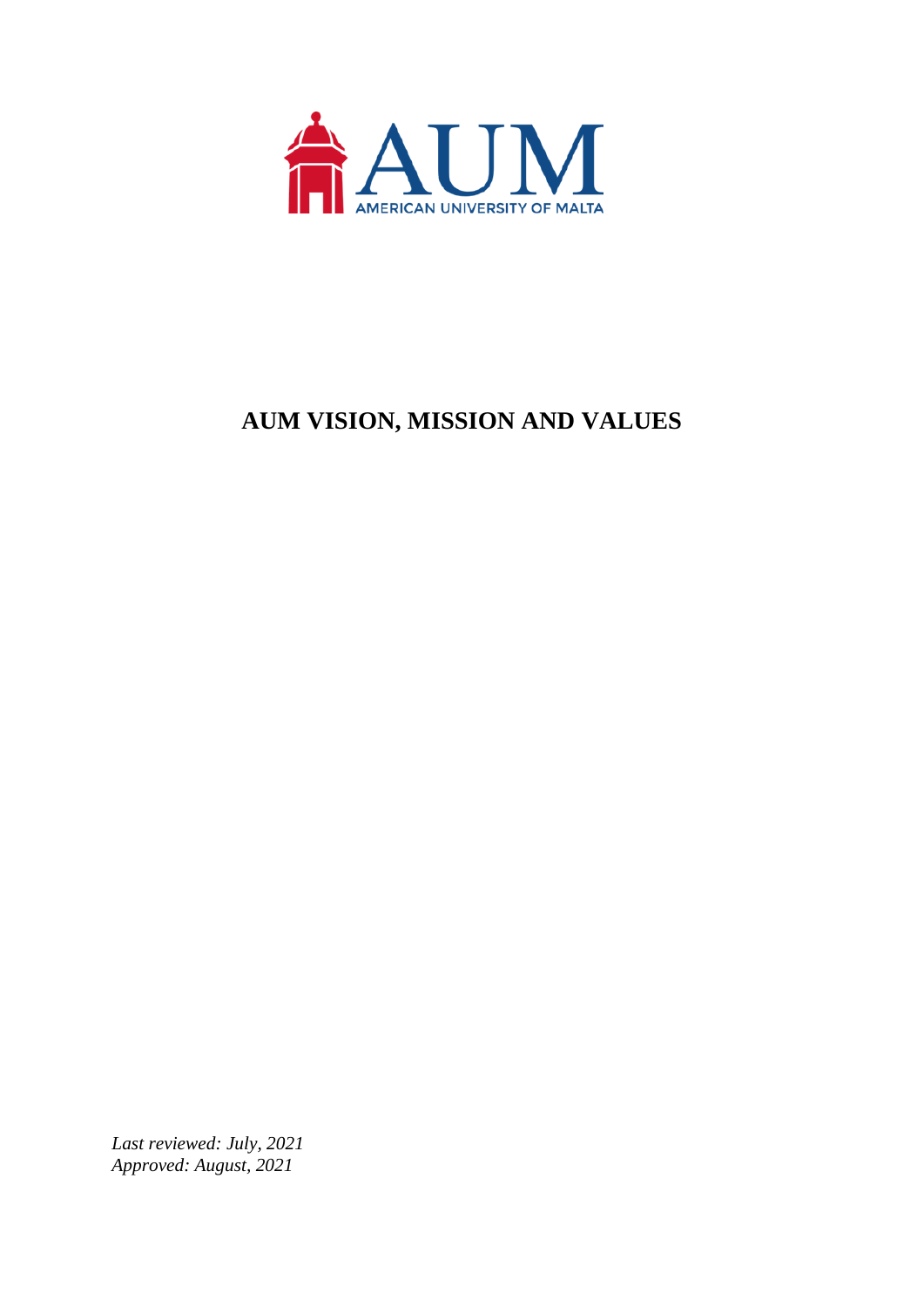

## **AUM VISION, MISSION AND VALUES**

*Last reviewed: July, 2021 Approved: August, 2021*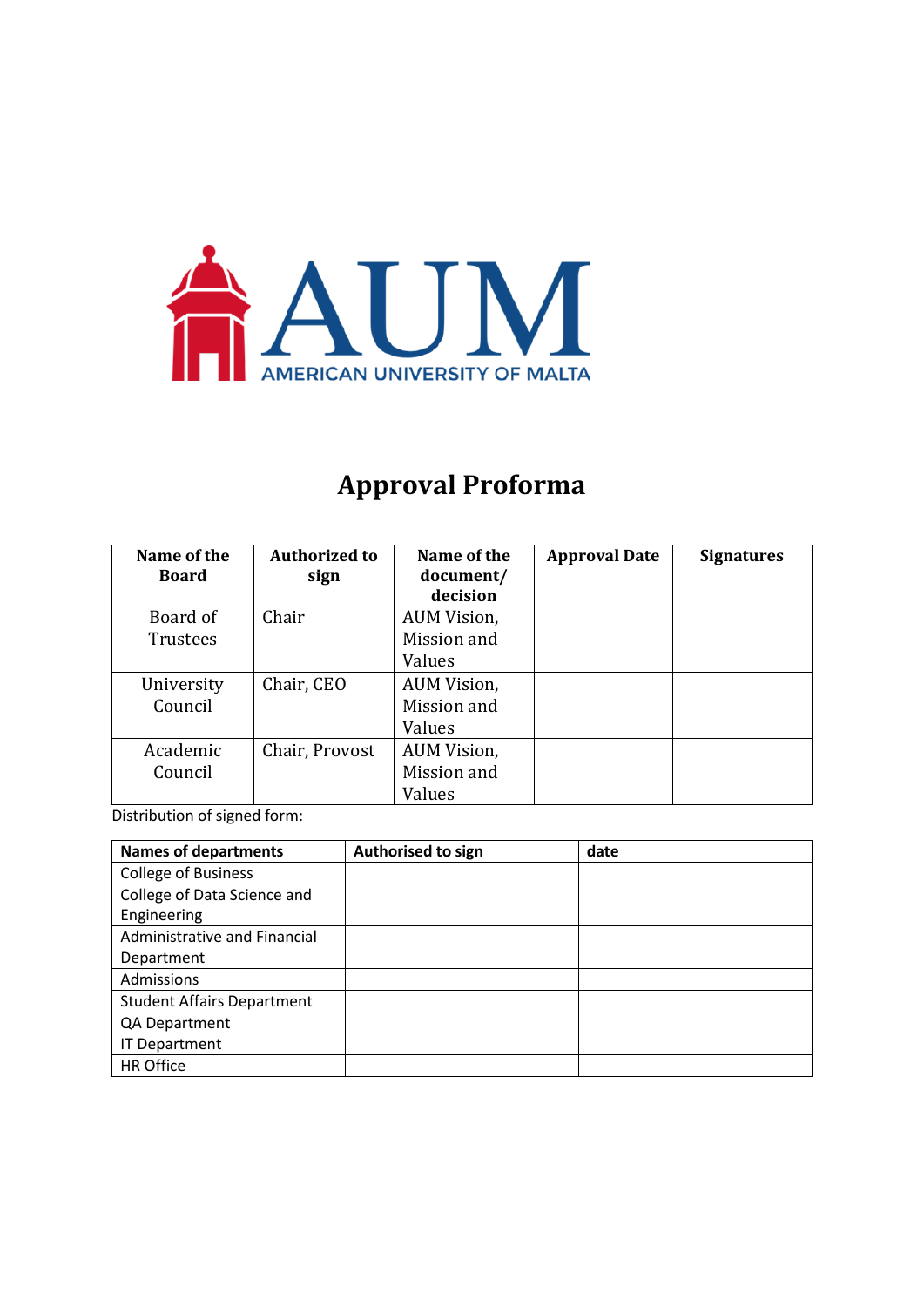

# **Approval Proforma**

| Name of the<br><b>Board</b> | <b>Authorized to</b><br>sign | Name of the<br>document/<br>decision | <b>Approval Date</b> | <b>Signatures</b> |
|-----------------------------|------------------------------|--------------------------------------|----------------------|-------------------|
| Board of                    | Chair                        | AUM Vision,                          |                      |                   |
| <b>Trustees</b>             |                              | Mission and                          |                      |                   |
|                             |                              | Values                               |                      |                   |
| University                  | Chair, CEO                   | AUM Vision,                          |                      |                   |
| Council                     |                              | Mission and                          |                      |                   |
|                             |                              | Values                               |                      |                   |
| Academic                    | Chair, Provost               | <b>AUM Vision,</b>                   |                      |                   |
| Council                     |                              | Mission and                          |                      |                   |
|                             |                              | Values                               |                      |                   |

Distribution of signed form:

| <b>Names of departments</b>       | Authorised to sign | date |
|-----------------------------------|--------------------|------|
| <b>College of Business</b>        |                    |      |
| College of Data Science and       |                    |      |
| Engineering                       |                    |      |
| Administrative and Financial      |                    |      |
| Department                        |                    |      |
| Admissions                        |                    |      |
| <b>Student Affairs Department</b> |                    |      |
| QA Department                     |                    |      |
| <b>IT Department</b>              |                    |      |
| <b>HR Office</b>                  |                    |      |